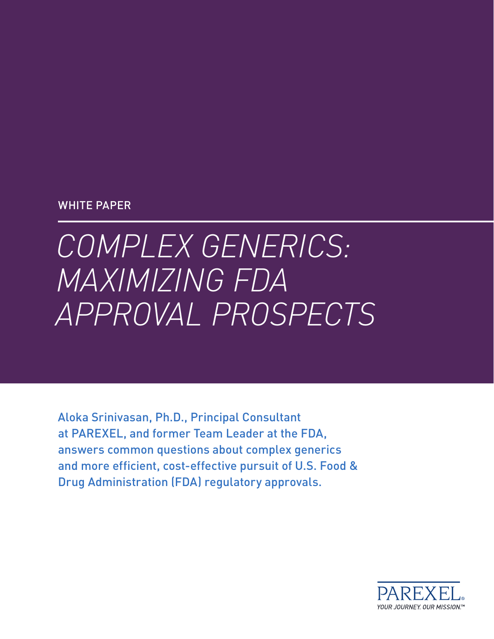#### WHITE PAPER

# *COMPLEX GENERICS: MAXIMIZING FDA APPROVAL PROSPECTS*

Aloka Srinivasan, Ph.D., Principal Consultant at PAREXEL, and former Team Leader at the FDA, answers common questions about complex generics and more efficient, cost-effective pursuit of U.S. Food & Drug Administration (FDA) regulatory approvals.

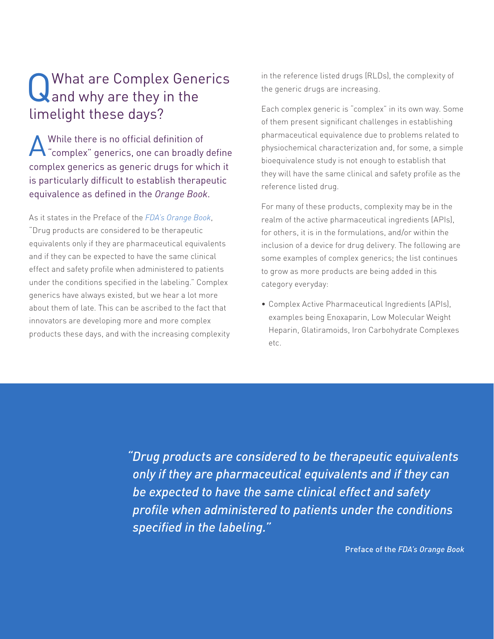# Q What are Complex Generics<br>
and why are they in the limelight these days?

A While there is no official definition of "complex" generics, one can broadly define complex generics as generic drugs for which it is particularly difficult to establish therapeutic equivalence as defined in the *Orange Book*.

As it states in the Preface of the *FDA's Orange Book*, "Drug products are considered to be therapeutic equivalents only if they are pharmaceutical equivalents and if they can be expected to have the same clinical effect and safety profile when administered to patients under the conditions specified in the labeling." Complex generics have always existed, but we hear a lot more about them of late. This can be ascribed to the fact that innovators are developing more and more complex products these days, and with the increasing complexity in the reference listed drugs (RLDs), the complexity of the generic drugs are increasing.

Each complex generic is "complex" in its own way. Some of them present significant challenges in establishing pharmaceutical equivalence due to problems related to physiochemical characterization and, for some, a simple bioequivalence study is not enough to establish that they will have the same clinical and safety profile as the reference listed drug.

For many of these products, complexity may be in the realm of the active pharmaceutical ingredients (APIs), for others, it is in the formulations, and/or within the inclusion of a device for drug delivery. The following are some examples of complex generics; the list continues to grow as more products are being added in this category everyday:

• Complex Active Pharmaceutical Ingredients (APIs), examples being Enoxaparin, Low Molecular Weight Heparin, Glatiramoids, Iron Carbohydrate Complexes etc.

*"Drug products are considered to be therapeutic equivalents only if they are pharmaceutical equivalents and if they can be expected to have the same clinical effect and safety profile when administered to patients under the conditions specified in the labeling."*

Preface of the *FDA's Orange Book*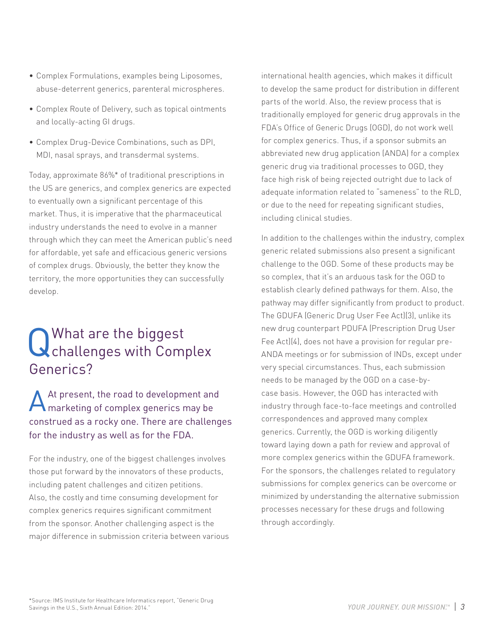- Complex Formulations, examples being Liposomes, abuse-deterrent generics, parenteral microspheres.
- Complex Route of Delivery, such as topical ointments and locally-acting GI drugs.
- • Complex Drug-Device Combinations, such as DPI, MDI, nasal sprays, and transdermal systems.

Today, approximate 86%\* of traditional prescriptions in the US are generics, and complex generics are expected to eventually own a significant percentage of this market. Thus, it is imperative that the pharmaceutical industry understands the need to evolve in a manner through which they can meet the American public's need for affordable, yet safe and efficacious generic versions of complex drugs. Obviously, the better they know the territory, the more opportunities they can successfully develop.

# Q What are the biggest<br>Challenges with Complex Generics?

At present, the road to development and marketing of complex generics may be construed as a rocky one. There are challenges for the industry as well as for the FDA.

For the industry, one of the biggest challenges involves those put forward by the innovators of these products, including patent challenges and citizen petitions. Also, the costly and time consuming development for complex generics requires significant commitment from the sponsor. Another challenging aspect is the major difference in submission criteria between various international health agencies, which makes it difficult to develop the same product for distribution in different parts of the world. Also, the review process that is traditionally employed for generic drug approvals in the FDA's Office of Generic Drugs (OGD), do not work well for complex generics. Thus, if a sponsor submits an abbreviated new drug application (ANDA) for a complex generic drug via traditional processes to OGD, they face high risk of being rejected outright due to lack of adequate information related to "sameness" to the RLD, or due to the need for repeating significant studies, including clinical studies.

In addition to the challenges within the industry, complex generic related submissions also present a significant challenge to the OGD. Some of these products may be so complex, that it's an arduous task for the OGD to establish clearly defined pathways for them. Also, the pathway may differ significantly from product to product. The GDUFA (Generic Drug User Fee Act)(3), unlike its new drug counterpart PDUFA (Prescription Drug User Fee Act)(4), does not have a provision for regular pre-ANDA meetings or for submission of INDs, except under very special circumstances. Thus, each submission needs to be managed by the OGD on a case-bycase basis. However, the OGD has interacted with industry through face-to-face meetings and controlled correspondences and approved many complex generics. Currently, the OGD is working diligently toward laying down a path for review and approval of more complex generics within the GDUFA framework. For the sponsors, the challenges related to regulatory submissions for complex generics can be overcome or minimized by understanding the alternative submission processes necessary for these drugs and following through accordingly.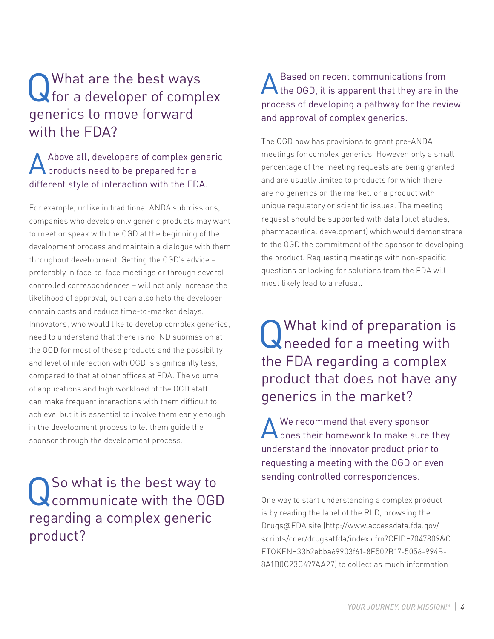### Q What are the best ways<br>
G for a developer of complex generics to move forward with the FDA?

#### Above all, developers of complex generic products need to be prepared for a different style of interaction with the FDA.

For example, unlike in traditional ANDA submissions, companies who develop only generic products may want to meet or speak with the OGD at the beginning of the development process and maintain a dialogue with them throughout development. Getting the OGD's advice – preferably in face-to-face meetings or through several controlled correspondences – will not only increase the likelihood of approval, but can also help the developer contain costs and reduce time-to-market delays. Innovators, who would like to develop complex generics, need to understand that there is no IND submission at the OGD for most of these products and the possibility and level of interaction with OGD is significantly less, compared to that at other offices at FDA. The volume of applications and high workload of the OGD staff can make frequent interactions with them difficult to achieve, but it is essential to involve them early enough in the development process to let them guide the sponsor through the development process.

### QSo what is the best way to communicate with the OGD regarding a complex generic product?

#### A Based on recent communications from<br>the OGD, it is apparent that they are in the process of developing a pathway for the review and approval of complex generics.

The OGD now has provisions to grant pre-ANDA meetings for complex generics. However, only a small percentage of the meeting requests are being granted and are usually limited to products for which there are no generics on the market, or a product with unique regulatory or scientific issues. The meeting request should be supported with data (pilot studies, pharmaceutical development) which would demonstrate to the OGD the commitment of the sponsor to developing the product. Requesting meetings with non-specific questions or looking for solutions from the FDA will most likely lead to a refusal.

### Q What kind of preparation is<br>Q needed for a meeting with the FDA regarding a complex product that does not have any generics in the market?

A We recommend that every sponsor<br>
does their homework to make sure they understand the innovator product prior to requesting a meeting with the OGD or even sending controlled correspondences.

One way to start understanding a complex product is by reading the label of the RLD, browsing the Drugs@FDA site (http://www.accessdata.fda.gov/ scripts/cder/drugsatfda/index.cfm?CFID=7047809&C FTOKEN=33b2ebba69903f61-8F502B17-5056-994B-8A1B0C23C497AA27) to collect as much information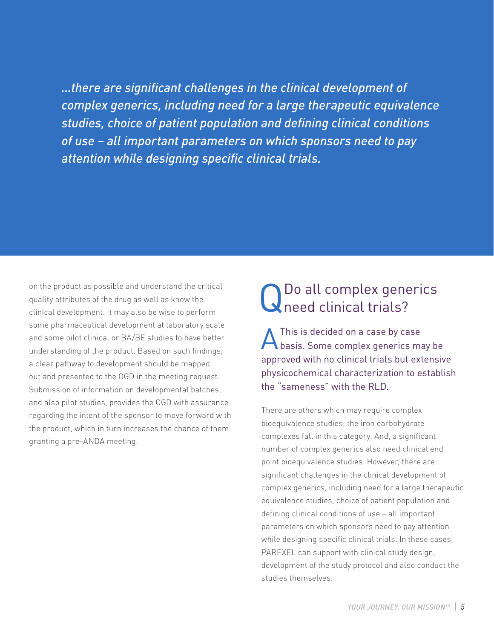*...there are significant challenges in the clinical development of complex generics, including need for a large therapeutic equivalence studies, choice of patient population and defining clinical conditions of use – all important parameters on which sponsors need to pay attention while designing specific clinical trials.*

on the product as possible and understand the critical quality attributes of the drug as well as know the clinical development. It may also be wise to perform some pharmaceutical development at laboratory scale and some pilot clinical or BA/BE studies to have better understanding of the product. Based on such findings, a clear pathway to development should be mapped out and presented to the OGD in the meeting request. Submission of information on developmental batches, and also pilot studies, provides the OGD with assurance regarding the intent of the sponsor to move forward with the product, which in turn increases the chance of them granting a pre-ANDA meeting.

# QDo all complex generics need clinical trials?

AThis is decided on a case by case basis. Some complex generics may be approved with no clinical trials but extensive physicochemical characterization to establish the "sameness" with the RLD.

There are others which may require complex bioequivalence studies; the iron carbohydrate complexes fall in this category. And, a significant number of complex generics also need clinical end point bioequivalence studies. However, there are significant challenges in the clinical development of complex generics, including need for a large therapeutic equivalence studies, choice of patient population and defining clinical conditions of use – all important parameters on which sponsors need to pay attention while designing specific clinical trials. In these cases, PAREXEL can support with clinical study design, development of the study protocol and also conduct the studies themselves.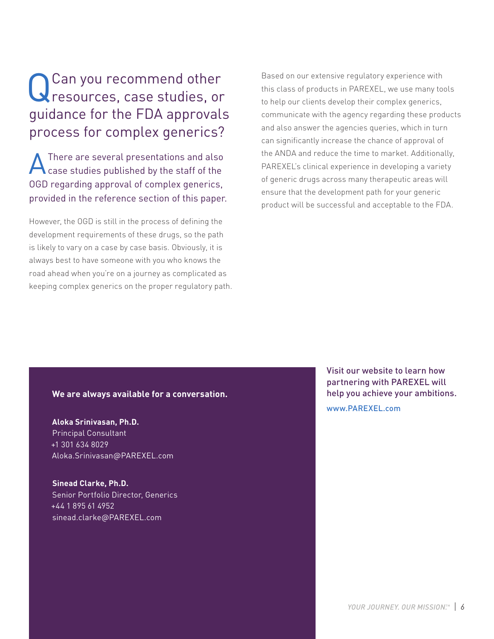### QCan you recommend other<br>
Gresources, case studies, or guidance for the FDA approvals process for complex generics?

There are several presentations and also case studies published by the staff of the OGD regarding approval of complex generics, provided in the reference section of this paper.

However, the OGD is still in the process of defining the development requirements of these drugs, so the path is likely to vary on a case by case basis. Obviously, it is always best to have someone with you who knows the road ahead when you're on a journey as complicated as keeping complex generics on the proper regulatory path. Based on our extensive regulatory experience with this class of products in PAREXEL, we use many tools to help our clients develop their complex generics, communicate with the agency regarding these products and also answer the agencies queries, which in turn can significantly increase the chance of approval of the ANDA and reduce the time to market. Additionally, PAREXEL's clinical experience in developing a variety of generic drugs across many therapeutic areas will ensure that the development path for your generic product will be successful and acceptable to the FDA.

#### **We are always available for a conversation.**

**Aloka Srinivasan, Ph.D.** Principal Consultant +1 301 634 8029 Aloka.Srinivasan@PAREXEL.com

**Sinead Clarke, Ph.D.** Senior Portfolio Director, Generics +44 1 895 61 4952 sinead.clarke@PAREXEL.com

Visit our website to learn how partnering with PAREXEL will help you achieve your ambitions.

www.PAREXEL.com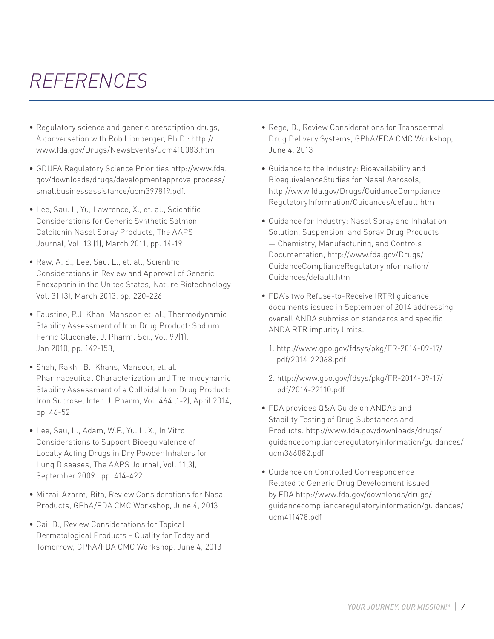### *REFERENCES*

- Regulatory science and generic prescription drugs, A conversation with Rob Lionberger, Ph.D.: http:// www.fda.gov/Drugs/NewsEvents/ucm410083.htm
- • GDUFA Regulatory Science Priorities http://www.fda. gov/downloads/drugs/developmentapprovalprocess/ smallbusinessassistance/ucm397819.pdf.
- • Lee, Sau. L, Yu, Lawrence, X., et. al., Scientific Considerations for Generic Synthetic Salmon Calcitonin Nasal Spray Products, The AAPS Journal, Vol. 13 (1), March 2011, pp. 14-19
- • Raw, A. S., Lee, Sau. L., et. al., Scientific Considerations in Review and Approval of Generic Enoxaparin in the United States, Nature Biotechnology Vol. 31 (3), March 2013, pp. 220-226
- • Faustino, P.J, Khan, Mansoor, et. al., Thermodynamic Stability Assessment of Iron Drug Product: Sodium Ferric Gluconate, J. Pharm. Sci., Vol. 99(1), Jan 2010, pp. 142-153,
- Shah, Rakhi. B., Khans, Mansoor, et. al., Pharmaceutical Characterization and Thermodynamic Stability Assessment of a Colloidal Iron Drug Product: Iron Sucrose, Inter. J. Pharm, Vol. 464 (1-2), April 2014, pp. 46-52
- • Lee, Sau, L., Adam, W.F., Yu. L. X., In Vitro Considerations to Support Bioequivalence of Locally Acting Drugs in Dry Powder Inhalers for Lung Diseases, The AAPS Journal, Vol. 11(3), September 2009 , pp. 414-422
- Mirzai-Azarm, Bita, Review Considerations for Nasal Products, GPhA/FDA CMC Workshop, June 4, 2013
- Cai, B., Review Considerations for Topical Dermatological Products – Quality for Today and Tomorrow, GPhA/FDA CMC Workshop, June 4, 2013
- Rege, B., Review Considerations for Transdermal Drug Delivery Systems, GPhA/FDA CMC Workshop, June 4, 2013
- • Guidance to the Industry: Bioavailability and BioequivalenceStudies for Nasal Aerosols, http://www.fda.gov/Drugs/GuidanceCompliance RegulatoryInformation/Guidances/default.htm
- Guidance for Industry: Nasal Spray and Inhalation Solution, Suspension, and Spray Drug Products — Chemistry, Manufacturing, and Controls Documentation, http://www.fda.gov/Drugs/ GuidanceComplianceRegulatoryInformation/ Guidances/default.htm
- FDA's two Refuse-to-Receive (RTR) quidance documents issued in September of 2014 addressing overall ANDA submission standards and specific ANDA RTR impurity limits.
	- 1. http://www.gpo.gov/fdsys/pkg/FR-2014-09-17/ pdf/2014-22068.pdf
	- 2. http://www.gpo.gov/fdsys/pkg/FR-2014-09-17/ pdf/2014-22110.pdf
- • FDA provides Q&A Guide on ANDAs and Stability Testing of Drug Substances and Products. http://www.fda.gov/downloads/drugs/ guidancecomplianceregulatoryinformation/guidances/ ucm366082.pdf
- • Guidance on Controlled Correspondence Related to Generic Drug Development issued by FDA http://www.fda.gov/downloads/drugs/ guidancecomplianceregulatoryinformation/guidances/ ucm411478.pdf